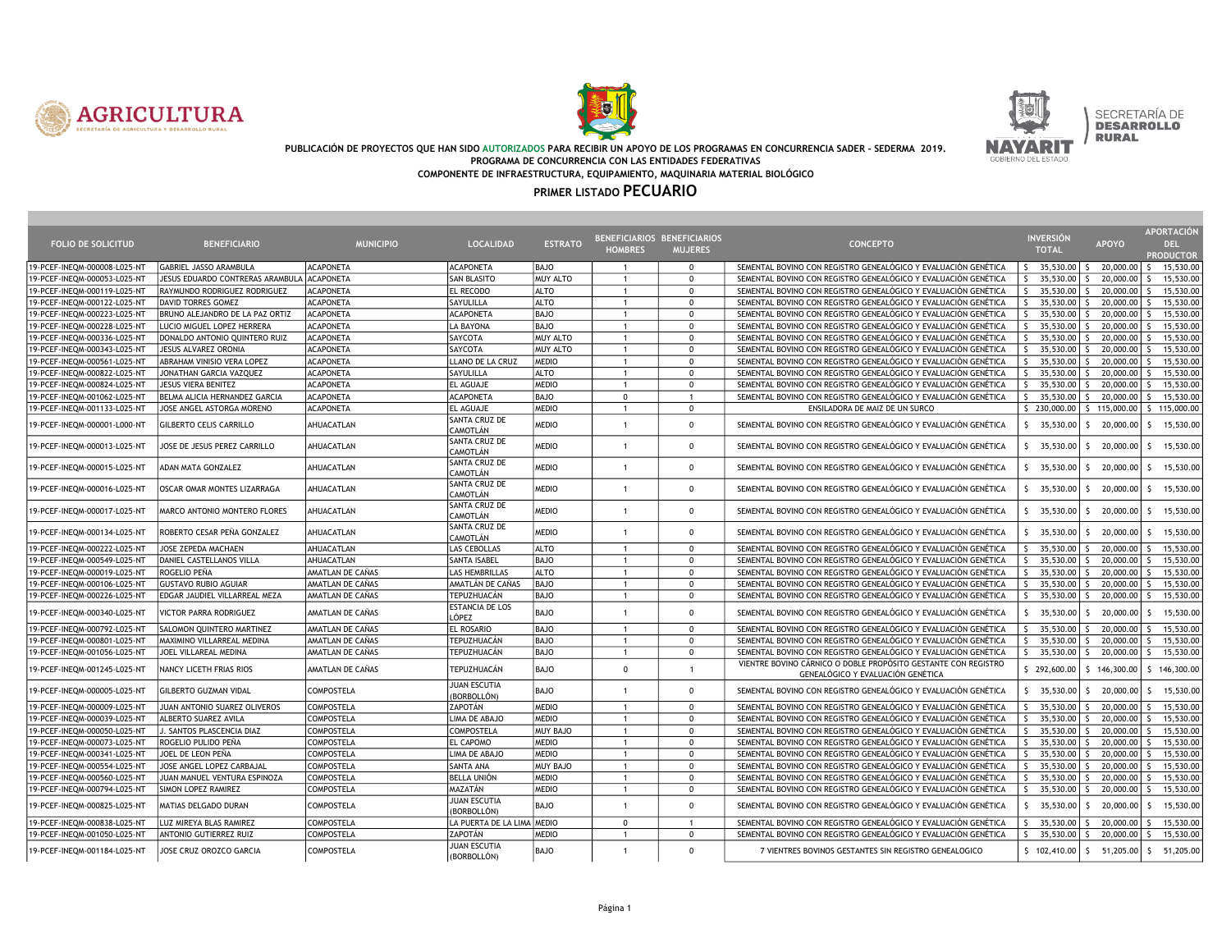





#### PUBLICACIÓN DE PROYECTOS QUE HAN SIDO AUTORIZADOS PARA RECIBIR UN APOYO DE LOS PROGRAMAS EN CONCURRENCIA SADER - SEDERMA 2019. PROGRAMA DE CONCURRENCIA CON LAS ENTIDADES FEDERATIVAS COMPONENTE DE INFRAESTRUCTURA, EQUIPAMIENTO, MAQUINARIA MATERIAL BIOLÓGICO

| <b>FOLIO DE SOLICITUD</b>    | <b>BENEFICIARIO</b>              | <b>MUNICIPIO</b>  | <b>LOCALIDAD</b>                   | <b>ESTRATO</b> | <b>HOMBRES</b> | BENEFICIARIOS BENEFICIARIOS<br><b>MUJERES</b> | <b>CONCEPTO</b>                                                                                     | <b>INVERSION</b><br><b>TOTAL</b> | <b>APOYO</b>                                    | APORTACIÓN<br><b>DEL</b>  |
|------------------------------|----------------------------------|-------------------|------------------------------------|----------------|----------------|-----------------------------------------------|-----------------------------------------------------------------------------------------------------|----------------------------------|-------------------------------------------------|---------------------------|
|                              |                                  |                   |                                    |                |                |                                               |                                                                                                     |                                  |                                                 | <b>PRODUCTOR</b>          |
| 19-PCEF-INEQM-000008-L025-NT | GABRIEL JASSO ARAMBULA           | <b>ACAPONETA</b>  | <b>ACAPONETA</b>                   | <b>BAJO</b>    |                | $\Omega$                                      | SEMENTAL BOVINO CON REGISTRO GENEALÓGICO Y EVALUACIÓN GENÉTICA                                      | $\frac{1}{2}$ 35,530.00 \$       | 20,000.00                                       | 15,530.00<br>S.           |
| 19-PCEF-INEQM-000053-L025-NT | JESUS EDUARDO CONTRERAS ARAMBULA | <b>ACAPONETA</b>  | <b>SAN BLASITO</b>                 | MUY ALTO       |                | $\Omega$                                      | SEMENTAL BOVINO CON REGISTRO GENEALÓGICO Y EVALUACIÓN GENÉTICA                                      | $35,530.00$ S<br>S.              | 20,000.00                                       | 15,530.00<br>-S.          |
| 19-PCEF-INEQM-000119-L025-NT | RAYMUNDO RODRIGUEZ RODRIGUEZ     | <b>ACAPONETA</b>  | <b>EL RECODO</b>                   | <b>ALTO</b>    | $\overline{1}$ | $\mathbf 0$                                   | SEMENTAL BOVINO CON REGISTRO GENEALÓGICO Y EVALUACIÓN GENÉTICA                                      | S.<br>35,530.00                  | 20,000.00<br>-S                                 | 15,530.00<br>-S.          |
| 19-PCEF-INEQM-000122-L025-NT | <b>DAVID TORRES GOMEZ</b>        | <b>ACAPONETA</b>  | SAYULILLA                          | <b>ALTO</b>    | $\mathbf{1}$   | $\mathbf 0$                                   | SEMENTAL BOVINO CON REGISTRO GENEALÓGICO Y EVALUACIÓN GENÉTICA                                      | $35,530.00$ S<br>S.              | 20,000.00                                       | 15,530.00<br>S.           |
| 19-PCEF-INEQM-000223-L025-NT | BRUNO ALEJANDRO DE LA PAZ ORTIZ  | <b>ACAPONETA</b>  | <b>ACAPONETA</b>                   | <b>BAJO</b>    | $\mathbf{1}$   | $\mathbf{0}$                                  | SEMENTAL BOVINO CON REGISTRO GENEALÓGICO Y EVALUACIÓN GENÉTICA                                      | $35,530.00$ \$<br>S.             | 20,000.00                                       | 15,530.00<br>$\zeta$      |
| 19-PCEF-INEQM-000228-L025-NT | LUCIO MIGUEL LOPEZ HERRERA       | <b>ACAPONETA</b>  | LA BAYONA                          | <b>BAJO</b>    |                | $\Omega$                                      | SEMENTAL BOVINO CON REGISTRO GENEALÓGICO Y EVALUACIÓN GENÉTICA                                      | S.<br>$35,530.00$ \$             | 20,000.00                                       | $\mathsf{S}$<br>15,530.00 |
| 19-PCEF-INEQM-000336-L025-NT | DONALDO ANTONIO QUINTERO RUIZ    | <b>ACAPONETA</b>  | SAYCOTA                            | MUY ALTO       | $\overline{1}$ | $\Omega$                                      | SEMENTAL BOVINO CON REGISTRO GENEALÓGICO Y EVALUACIÓN GENÉTICA                                      | $35,530.00$ \$<br>S.             | 20,000.00                                       | 15,530.00<br>-S.          |
| 19-PCEF-INEQM-000343-L025-NT | JESUS ALVAREZ ORONIA             | <b>ACAPONETA</b>  | SAYCOTA                            | MUY ALTO       | $\overline{1}$ | $\mathbf 0$                                   | SEMENTAL BOVINO CON REGISTRO GENEALÓGICO Y EVALUACIÓN GENÉTICA                                      | 35,530.00<br>S.                  | 20,000.00<br>S.                                 | 15,530.00<br>S.           |
| 19-PCEF-INEQM-000561-L025-NT | ABRAHAM VINISIO VERA LOPEZ       | <b>ACAPONETA</b>  | LLANO DE LA CRUZ                   | MEDIO          | $\overline{1}$ | $\Omega$                                      | SEMENTAL BOVINO CON REGISTRO GENEALÓGICO Y EVALUACIÓN GENÉTICA                                      | $35,530.00$ \$<br>S.             | 20,000.00                                       | 15,530.00<br>$\zeta$      |
| 19-PCEF-INEQM-000822-L025-NT | JONATHAN GARCIA VAZQUEZ          | <b>ACAPONETA</b>  | SAYULILLA                          | <b>ALTO</b>    |                | $\Omega$                                      | SEMENTAL BOVINO CON REGISTRO GENEALÓGICO Y EVALUACIÓN GENÉTICA                                      | $35,530.00$ \$<br>$\mathsf{S}$   | 20,000.00                                       | 15,530.00<br>$\varsigma$  |
| 19-PCEF-INEQM-000824-L025-NT | <b>JESUS VIERA BENITEZ</b>       | <b>ACAPONETA</b>  | <b>EL AGUAJE</b>                   | MEDIO          |                | $\Omega$                                      | SEMENTAL BOVINO CON REGISTRO GENEALÓGICO Y EVALUACIÓN GENÉTICA                                      | $\mathsf{S}$<br>35,530.00        | 20,000.00<br>$\mathsf{s}$                       | 15,530.00                 |
| 19-PCEF-INEQM-001062-L025-NT | BELMA ALICIA HERNANDEZ GARCIA    | <b>ACAPONETA</b>  | <b>ACAPONETA</b>                   | <b>BAJO</b>    | $\pmb{0}$      | $\mathbf{1}$                                  | SEMENTAL BOVINO CON REGISTRO GENEALÓGICO Y EVALUACIÓN GENÉTICA                                      | 35,530.00<br>S.                  | 20,000.00<br>S.                                 | 15,530.00<br>$\zeta$      |
| 19-PCEF-INEQM-001133-L025-NT | JOSE ANGEL ASTORGA MORENO        | <b>ACAPONETA</b>  | <b>EL AGUAJE</b>                   | MEDIO          | $\mathbf{1}$   | $\mathbf 0$                                   | ENSILADORA DE MAIZ DE UN SURCO                                                                      | \$230,000.00                     | \$115,000.00                                    | \$115,000.00              |
| 19-PCEF-INEQM-000001-L000-NT | <b>GILBERTO CELIS CARRILLO</b>   | AHUACATLAN        | SANTA CRUZ DE<br>CAMOTLÁN          | <b>MEDIO</b>   | $\mathbf{1}$   | $\mathbf 0$                                   | SEMENTAL BOVINO CON REGISTRO GENEALÓGICO Y EVALUACIÓN GENÉTICA                                      | S.<br>35,530.00                  | 20,000.00<br>S.                                 | 15,530.00<br>S.           |
| 19-PCEF-INEQM-000013-L025-NT | JOSE DE JESUS PEREZ CARRILLO     | AHUACATLAN        | SANTA CRUZ DE<br>CAMOTLÁN          | <b>MEDIO</b>   | $\mathbf{1}$   | $\Omega$                                      | SEMENTAL BOVINO CON REGISTRO GENEALÓGICO Y EVALUACIÓN GENÉTICA                                      | S.<br>35,530.00                  | 20,000.00<br>S.                                 | 15,530.00<br>-S.          |
| 19-PCEF-INEQM-000015-L025-NT | ADAN MATA GONZALEZ               | AHUACATLAN        | SANTA CRUZ DE<br>CAMOTLÁN          | <b>MEDIO</b>   | $\overline{1}$ | $\mathbf{0}$                                  | SEMENTAL BOVINO CON REGISTRO GENEALÓGICO Y EVALUACIÓN GENÉTICA                                      | 35,530.00<br>S.                  | 20,000.00<br>S.                                 | 15,530.00<br>-S.          |
| 19-PCEF-INEQM-000016-L025-NT | OSCAR OMAR MONTES LIZARRAGA      | AHUACATLAN        | SANTA CRUZ DE<br>CAMOTLÁN          | <b>MEDIO</b>   | $\overline{1}$ | $\Omega$                                      | SEMENTAL BOVINO CON REGISTRO GENEALÓGICO Y EVALUACIÓN GENÉTICA                                      | S.<br>35,530.00                  | -S<br>20,000.00                                 | 15,530.00<br>-S.          |
| 19-PCEF-INEQM-000017-L025-NT | MARCO ANTONIO MONTERO FLORES     | AHUACATLAN        | SANTA CRUZ DE<br>CAMOTLÁN          | <b>MEDIO</b>   | $\overline{1}$ | $\Omega$                                      | SEMENTAL BOVINO CON REGISTRO GENEALÓGICO Y EVALUACIÓN GENÉTICA                                      | S.<br>35,530.00                  | 20,000.00<br>S.                                 | 15,530.00<br>S.           |
| 19-PCEF-INEQM-000134-L025-NT | ROBERTO CESAR PEÑA GONZALEZ      | AHUACATLAN        | SANTA CRUZ DE<br>CAMOTLÁN          | <b>MEDIO</b>   | $\overline{1}$ | $\Omega$                                      | SEMENTAL BOVINO CON REGISTRO GENEALÓGICO Y EVALUACIÓN GENÉTICA                                      | $5$ 35,530.00                    | 20,000.00<br>S.                                 | 15,530.00<br>-S.          |
| 19-PCEF-INEQM-000222-L025-NT | JOSE ZEPEDA MACHAEN              | AHUACATLAN        | LAS CEBOLLAS                       | <b>ALTO</b>    | $\overline{1}$ | $^{\circ}$                                    | SEMENTAL BOVINO CON REGISTRO GENEALÓGICO Y EVALUACIÓN GENÉTICA                                      | 35,530.00<br>S.                  | 20,000.00<br>-S                                 | S.<br>15,530.00           |
| 19-PCEF-INEQM-000549-L025-NT | DANIEL CASTELLANOS VILLA         | AHUACATLAN        | <b>SANTA ISABEL</b>                | <b>BAJO</b>    | -1             | $\mathbf{0}$                                  | SEMENTAL BOVINO CON REGISTRO GENEALÓGICO Y EVALUACIÓN GENÉTICA                                      | S.<br>$35,530.00$ S              | 20,000.00                                       | $\mathsf{S}$<br>15,530.00 |
| 19-PCEF-INEQM-000019-L025-NT | ROGELIO PEÑA                     | AMATLAN DE CAÑAS  | LAS HEMBRILLAS                     | <b>ALTO</b>    |                | $\Omega$                                      | SEMENTAL BOVINO CON REGISTRO GENEALÓGICO Y EVALUACIÓN GENÉTICA                                      | S.<br>$35,530.00$ S              | 20,000.00                                       | 15,530.00<br>$\varsigma$  |
| 19-PCEF-INEQM-000106-L025-NT | <b>GUSTAVO RUBIO AGUIAR</b>      | AMATLAN DE CAÑAS  | AMATLÁN DE CAÑAS                   | <b>BAJO</b>    | $\overline{1}$ | $\Omega$                                      | SEMENTAL BOVINO CON REGISTRO GENEALÓGICO Y EVALUACIÓN GENÉTICA                                      | 35,530.00<br>S.                  | 20,000.00<br>-S                                 | 15,530.00<br>-S.          |
| 19-PCEF-INEQM-000226-L025-NT | EDGAR JAUDIEL VILLARREAL MEZA    | AMATLAN DE CAÑAS  | TEPUZHUACÁN                        | <b>BAJO</b>    | $\overline{1}$ | $\mathbf{0}$                                  | SEMENTAL BOVINO CON REGISTRO GENEALÓGICO Y EVALUACIÓN GENÉTICA                                      | 35,530.00<br>S.                  | 20,000.00<br>٢                                  | 15,530.00<br>$\varsigma$  |
| 19-PCEF-INEQM-000340-L025-N1 | <b>VICTOR PARRA RODRIGUEZ</b>    | AMATLAN DE CAÑAS  | <b>ESTANCIA DE LOS</b><br>LÓPEZ    | <b>BAJO</b>    | $\overline{1}$ | $\Omega$                                      | SEMENTAL BOVINO CON REGISTRO GENEALÓGICO Y EVALUACIÓN GENÉTICA                                      | 35,530.00<br>S.                  | 20,000.00                                       | 15,530.00                 |
| 19-PCEF-INEQM-000792-L025-NT | SALOMON QUINTERO MARTINEZ        | AMATLAN DE CAÑAS  | <b>EL ROSARIO</b>                  | <b>BAJO</b>    | $\mathbf{1}$   | $\mathbf 0$                                   | SEMENTAL BOVINO CON REGISTRO GENEALÓGICO Y EVALUACIÓN GENÉTICA                                      | $\mathsf{S}$<br>35,530.00 \$     | 20,000.00                                       | S.<br>15,530.00           |
| 19-PCEF-INEQM-000801-L025-NT | MAXIMINO VILLARREAL MEDINA       | AMATLAN DE CAÑAS  | TEPUZHUACÁN                        | <b>BAJO</b>    |                | $\mathbf{0}$                                  | SEMENTAL BOVINO CON REGISTRO GENEALÓGICO Y EVALUACIÓN GENÉTICA                                      | \$<br>$35,530.00$ \$             | 20,000.00                                       | 15,530.00                 |
| 19-PCEF-INEQM-001056-L025-NT | JOEL VILLAREAL MEDINA            | AMATLAN DE CAÑAS  | TEPUZHUACÁN                        | <b>BAJO</b>    |                | $\mathbf 0$                                   | SEMENTAL BOVINO CON REGISTRO GENEALÓGICO Y EVALUACIÓN GENÉTICA                                      |                                  | $\frac{1}{2}$ 35,530.00 $\frac{1}{2}$ 20,000.00 | 15,530.00<br>S.           |
| 19-PCEF-INEQM-001245-L025-NT | NANCY LICETH FRIAS RIOS          | AMATLAN DE CAÑAS  | TEPUZHUACÁN                        | <b>BAJO</b>    | $^{\circ}$     | $\overline{1}$                                | VIENTRE BOVINO CÁRNICO O DOBLE PROPÓSITO GESTANTE CON REGISTRO<br>GENEALÓGICO Y EVALUACIÓN GENÉTICA | \$292,600.00                     | \$146,300.00                                    | \$146,300.00              |
| 19-PCEF-INEQM-000005-L025-NT | <b>GILBERTO GUZMAN VIDAL</b>     | <b>COMPOSTELA</b> | <b>JUAN ESCUTIA</b><br>(BORBOLLÓN) | <b>BAJO</b>    | $\overline{1}$ | $\Omega$                                      | SEMENTAL BOVINO CON REGISTRO GENEALÓGICO Y EVALUACIÓN GENÉTICA                                      | $5$ 35,530.00                    | 20,000.00<br>-S.                                | 15,530.00<br>-S.          |
| 19-PCEF-INEQM-000009-L025-NT | JUAN ANTONIO SUAREZ OLIVEROS     | <b>COMPOSTELA</b> | ZAPOTÁN                            | MEDIO          | $\overline{1}$ | $\mathbf{0}$                                  | SEMENTAL BOVINO CON REGISTRO GENEALÓGICO Y EVALUACIÓN GENÉTICA                                      | 35,530.00<br>S.                  | 20,000.00<br>s                                  | 15,530.00<br>-S.          |
| 19-PCEF-INEQM-000039-L025-NT | ALBERTO SUAREZ AVILA             | <b>COMPOSTELA</b> | LIMA DE ABAJO                      | MEDIO          | $\overline{1}$ | $\Omega$                                      | SEMENTAL BOVINO CON REGISTRO GENEALÓGICO Y EVALUACIÓN GENÉTICA                                      | 35,530.00<br>S.                  | 20,000.00<br>S.                                 | 15,530.00<br>S.           |
| 19-PCEF-INEQM-000050-L025-NT | J. SANTOS PLASCENCIA DIAZ        | COMPOSTELA        | COMPOSTELA                         | MUY BAJO       | $\overline{1}$ | $\mathbf 0$                                   | SEMENTAL BOVINO CON REGISTRO GENEALÓGICO Y EVALUACIÓN GENÉTICA                                      | \$<br>$35,530.00$ S              | 20,000.00                                       | S.<br>15,530.00           |
| 19-PCEF-INEQM-000073-L025-NT | ROGELIO PULIDO PEÑA              | COMPOSTELA        | EL CAPOMO                          | MEDIO          |                | $\Omega$                                      | SEMENTAL BOVINO CON REGISTRO GENEALÓGICO Y EVALUACIÓN GENÉTICA                                      | S.<br>$35,530.00$ $\mid$ \$      | 20,000.00                                       | 15,530.00<br>-S.          |
| 19-PCEF-INEQM-000341-L025-NT | JOEL DE LEON PEÑA                | COMPOSTELA        | LIMA DE ABAJO                      | MEDIO          | $\overline{1}$ | $\Omega$                                      | SEMENTAL BOVINO CON REGISTRO GENEALÓGICO Y EVALUACIÓN GENÉTICA                                      | S.<br>$35,530.00$ \$             | 20,000.00                                       | 15,530.00<br>-S.          |
| 19-PCEF-INEQM-000554-L025-NT | JOSE ANGEL LOPEZ CARBAJAL        | COMPOSTELA        | <b>SANTA ANA</b>                   | MUY BAJO       | $\mathbf{1}$   | $\mathbf{0}$                                  | SEMENTAL BOVINO CON REGISTRO GENEALÓGICO Y EVALUACIÓN GENÉTICA                                      | 35,530.00<br>S.                  | 20,000.00<br>-S                                 | 15,530.00<br>S.           |
| 19-PCEF-INEQM-000560-L025-NT | JUAN MANUEL VENTURA ESPINOZA     | COMPOSTELA        | <b>BELLA UNIÓN</b>                 | MEDIO          | $\overline{1}$ | $\Omega$                                      | SEMENTAL BOVINO CON REGISTRO GENEALÓGICO Y EVALUACIÓN GENÉTICA                                      | $35,530.00$ S<br>S.              | 20,000.00                                       | 15,530.00<br>$\zeta$      |
| 19-PCEF-INEQM-000794-L025-NT | SIMON LOPEZ RAMIREZ              | COMPOSTELA        | MAZATÁN                            | MEDIO          |                | $\mathbf{0}$                                  | SEMENTAL BOVINO CON REGISTRO GENEALÓGICO Y EVALUACIÓN GENÉTICA                                      | $\mathsf{S}$<br>35,530.00 \$     | 20,000.00                                       | S.<br>15,530.00           |
| 19-PCEF-INEQM-000825-L025-NT | MATIAS DELGADO DURAN             | <b>COMPOSTELA</b> | JUAN ESCUTIA<br>(BORBOLLÓN)        | <b>BAJO</b>    | $\overline{1}$ | $\Omega$                                      | SEMENTAL BOVINO CON REGISTRO GENEALÓGICO Y EVALUACIÓN GENÉTICA                                      | $5$ 35,530.00                    | 20,000.00<br>S.                                 | 15,530.00<br>-S.          |
| 19-PCEF-INEQM-000838-L025-NT | LUZ MIREYA BLAS RAMIREZ          | COMPOSTELA        | LA PUERTA DE LA LIMA MEDIO         |                | $\Omega$       | $\overline{1}$                                | SEMENTAL BOVINO CON REGISTRO GENEALÓGICO Y EVALUACIÓN GENÉTICA                                      | $\mathsf{S}$<br>35,530.00        | 20,000.00<br>Š.                                 | 15,530.00<br>$\zeta$      |
| 19-PCEF-INEQM-001050-L025-NT | <b>ANTONIO GUTIERREZ RUIZ</b>    | <b>COMPOSTELA</b> | ZAPOTÁN                            | <b>MEDIO</b>   | $\overline{1}$ | $\mathbf{0}$                                  | SEMENTAL BOVINO CON REGISTRO GENEALÓGICO Y EVALUACIÓN GENÉTICA                                      | S.<br>35,530.00                  | 20,000.00                                       | 15,530.00<br>$\varsigma$  |
| 19-PCEF-INEQM-001184-L025-NT | JOSE CRUZ OROZCO GARCIA          | <b>COMPOSTELA</b> | <b>JUAN ESCUTIA</b><br>(BORBOLLÓN) | <b>BAJO</b>    | $\overline{1}$ | $\Omega$                                      | 7 VIENTRES BOVINOS GESTANTES SIN REGISTRO GENEALOGICO                                               | \$102,410.00                     | 51,205.00<br>S.                                 | 51,205.00<br>-S.          |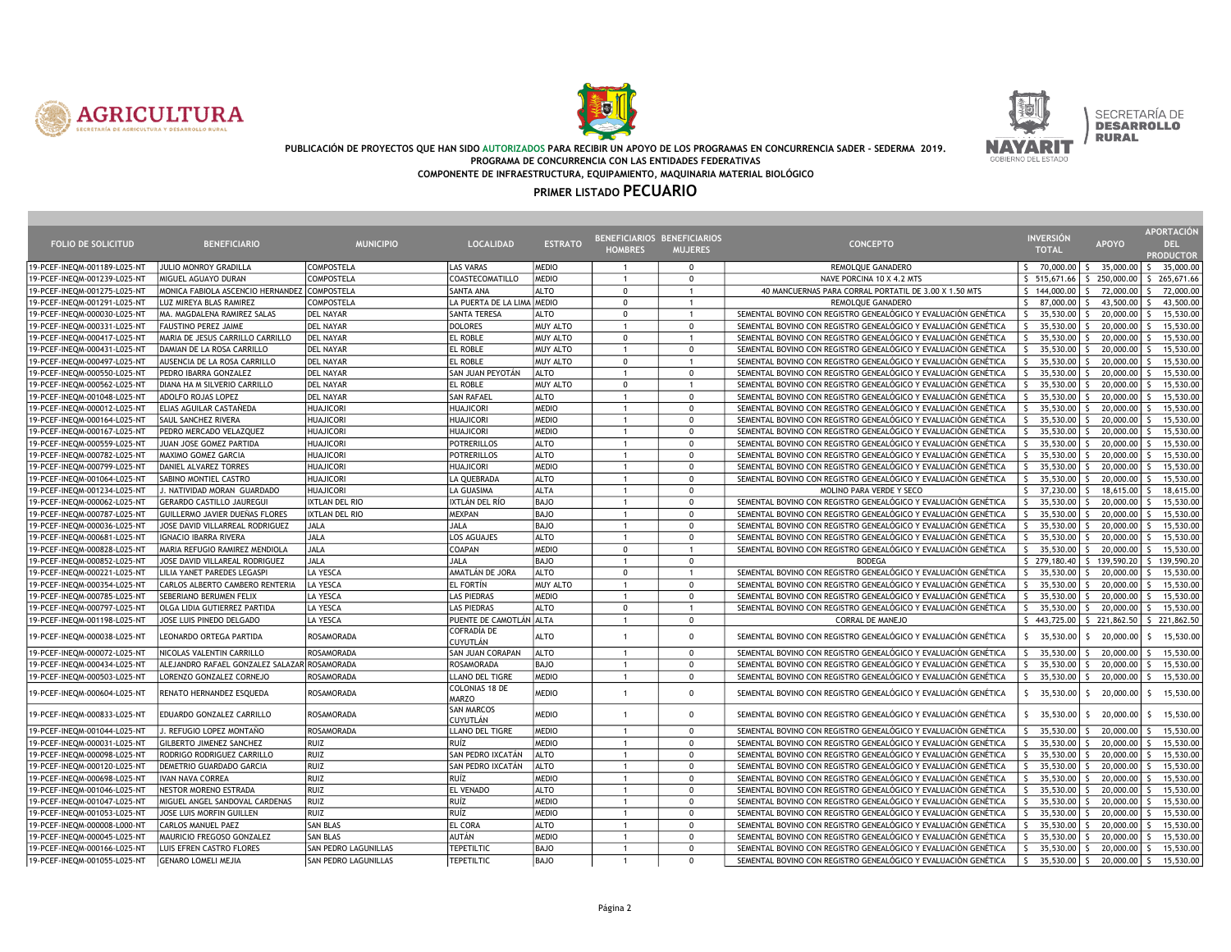





#### PUBLICACIÓN DE PROYECTOS QUE HAN SIDO AUTORIZADOS PARA RECIBIR UN APOYO DE LOS PROGRAMAS EN CONCURRENCIA SADER - SEDERMA 2019. PROGRAMA DE CONCURRENCIA CON LAS ENTIDADES FEDERATIVAS COMPONENTE DE INFRAESTRUCTURA, EQUIPAMIENTO, MAQUINARIA MATERIAL BIOLÓGICO

|                              |                                              |                             |                                       |                | BENEFICIARIOS BENEFICIARIOS |                |                                                                | <b>INVERSIÓN</b>               |                             | <b>APORTACIÓN</b>         |
|------------------------------|----------------------------------------------|-----------------------------|---------------------------------------|----------------|-----------------------------|----------------|----------------------------------------------------------------|--------------------------------|-----------------------------|---------------------------|
| <b>FOLIO DE SOLICITUD</b>    | <b>BENEFICIARIO</b>                          | <b>MUNICIPIO</b>            | <b>LOCALIDAD</b>                      | <b>ESTRATO</b> | <b>HOMBRES</b>              | <b>MUJERES</b> | <b>CONCEPTO</b>                                                | <b>TOTAL</b>                   | <b>APOYO</b>                | DEL.                      |
|                              |                                              |                             |                                       |                |                             |                |                                                                |                                |                             | <b>PRODUCTOR</b>          |
| 19-PCEF-INEQM-001189-L025-N1 | JULIO MONROY GRADILLA                        | COMPOSTELA                  | <b>LAS VARAS</b>                      | <b>MEDIO</b>   | $\overline{1}$              | $^{\circ}$     | REMOLQUE GANADERO                                              | S.<br>70,000,00 S              | 35,000.00                   | 35,000.00<br>S.           |
| 19-PCEF-INEQM-001239-L025-NT | MIGUEL AGUAYO DURAN                          | <b>COMPOSTELA</b>           | <b>COASTECOMATILLO</b>                | <b>MEDIO</b>   | $\overline{1}$              | $^{\circ}$     | NAVE PORCINA 10 X 4.2 MTS                                      | 5 515,671.66                   | \$250,000.00                | \$265,671.66              |
| 19-PCEF-INEQM-001275-L025-NT | MONICA FABIOLA ASCENCIO HERNANDEZ COMPOSTELA |                             | <b>SANTA ANA</b>                      | <b>ALTO</b>    | 0                           | $\overline{1}$ | 40 MANCUERNAS PARA CORRAL PORTATIL DE 3.00 X 1.50 MTS          | 5 144,000.00                   | 72,000.00<br>S.             | 72,000.00                 |
| 19-PCEF-INEQM-001291-L025-NT | LUZ MIREYA BLAS RAMIREZ                      | <b>COMPOSTELA</b>           | LA PUERTA DE LA LIMA MEDIO            |                | $^{\circ}$                  | $\overline{1}$ | REMOLQUE GANADERO                                              | $\mathsf{S}$<br>87,000.00 \$   | 43,500.00                   | 43,500.00<br>S.           |
| 19-PCEF-INEQM-000030-L025-NT | MA. MAGDALENA RAMIREZ SALAS                  | <b>DEL NAYAR</b>            | <b>SANTA TERESA</b>                   | <b>ALTO</b>    | $\Omega$                    | $\overline{1}$ | SEMENTAL BOVINO CON REGISTRO GENEALÓGICO Y EVALUACIÓN GENÉTICA | $\mathsf{S}$<br>35,530.00      | 20,000.00<br>-S             | 15,530.00                 |
| 19-PCEF-INEQM-000331-L025-NT | FAUSTINO PEREZ JAIME                         | <b>DEL NAYAR</b>            | <b>DOLORES</b>                        | MUY ALTO       | $\mathbf{1}$                | $\mathbf{0}$   | SEMENTAL BOVINO CON REGISTRO GENEALÓGICO Y EVALUACIÓN GENÉTICA | S.<br>35,530.00                | 20,000.00<br>5              | 15,530.00<br>$\zeta$      |
| 19-PCEF-INEQM-000417-L025-NT | MARIA DE JESUS CARRILLO CARRILLO             | <b>DEL NAYAR</b>            | <b>EL ROBLE</b>                       | MUY ALTO       | $\mathbf 0$                 | $\overline{1}$ | SEMENTAL BOVINO CON REGISTRO GENEALÓGICO Y EVALUACIÓN GENÉTICA | 35.530.00<br>S.                | 20,000.00                   | 15,530.00                 |
| 19-PCEF-INEQM-000431-L025-NT | DAMIAN DE LA ROSA CARRILLO                   | <b>DEL NAYAR</b>            | <b>EL ROBLE</b>                       | MUY ALTO       | $\overline{1}$              | $\mathbf 0$    | SEMENTAL BOVINO CON REGISTRO GENEALÓGICO Y EVALUACIÓN GENÉTICA | S.<br>35,530.00                | 20,000.00<br>-S             | 15,530.00                 |
| 19-PCEF-INEQM-000497-L025-NT | AUSENCIA DE LA ROSA CARRILLO                 | <b>DEL NAYAR</b>            | <b>EL ROBLE</b>                       | MUY ALTO       | $\Omega$                    | $\overline{1}$ | SEMENTAL BOVINO CON REGISTRO GENEALÓGICO Y EVALUACIÓN GENÉTICA | $\mathsf{S}$<br>35,530.00      | 20,000.00<br>s              | 15,530.00                 |
| 19-PCEF-INEQM-000550-L025-NT | PEDRO IBARRA GONZALEZ                        | <b>DEL NAYAR</b>            | SAN JUAN PEYOTÁN                      | <b>ALTO</b>    | $\overline{1}$              | $\mathbf{0}$   | SEMENTAL BOVINO CON REGISTRO GENEALÓGICO Y EVALUACIÓN GENÉTICA | 35,530.00<br>S.                | 20,000.00<br>S.             | 15,530.00                 |
| 19-PCEF-INEQM-000562-L025-NT | DIANA HA M SILVERIO CARRILLO                 | <b>DEL NAYAR</b>            | <b>EL ROBLE</b>                       | MUY ALTO       | $\mathbf 0$                 | $\overline{1}$ | SEMENTAL BOVINO CON REGISTRO GENEALÓGICO Y EVALUACIÓN GENÉTICA | 35,530.00<br>S.                | 20,000.00<br>Š.             | 15,530.00                 |
| 19-PCEF-INEQM-001048-L025-NT | ADOLFO ROJAS LOPEZ                           | <b>DEL NAYAR</b>            | <b>SAN RAFAEL</b>                     | <b>ALTO</b>    | $\overline{1}$              | $\mathbf{0}$   | SEMENTAL BOVINO CON REGISTRO GENEALÓGICO Y EVALUACIÓN GENÉTICA | $35,530.00$ \$<br>S.           | 20,000.00                   | 15,530.00<br>$\zeta$      |
| 19-PCEF-INEQM-000012-L025-NT | ELIAS AGUILAR CASTAÑEDA                      | <b>HUAJICORI</b>            | <b>HUAJICORI</b>                      | <b>MEDIO</b>   | $\overline{1}$              | $\Omega$       | SEMENTAL BOVINO CON REGISTRO GENEALÓGICO Y EVALUACIÓN GENÉTICA | S.<br>35.530.00                | 20,000.00<br>-S             | 15,530.00                 |
| 19-PCEF-INEQM-000164-L025-NT | SAUL SANCHEZ RIVERA                          | <b>HUAJICORI</b>            | <b>HUAJICORI</b>                      | <b>MEDIO</b>   | $\mathbf{1}$                | $\mathbf 0$    | SEMENTAL BOVINO CON REGISTRO GENEALÓGICO Y EVALUACIÓN GENÉTICA | 35,530.00<br>S.                | 20,000.00<br>S.             | 15,530.00<br>S.           |
| 19-PCEF-INEQM-000167-L025-NT | PEDRO MERCADO VELAZQUEZ                      | <b>HUAJICORI</b>            | <b>HUAJICORI</b>                      | <b>MEDIO</b>   | $\overline{1}$              | $^{\circ}$     | SEMENTAL BOVINO CON REGISTRO GENEALÓGICO Y EVALUACIÓN GENÉTICA | S.<br>35,530.00                | 20,000.00<br>-S             | 15,530.00<br>ς.           |
| 19-PCEF-INEQM-000559-L025-NT | JUAN JOSE GOMEZ PARTIDA                      | <b>HUAJICORI</b>            | <b>POTRERILLOS</b>                    | <b>ALTO</b>    | $\overline{1}$              | $\Omega$       | SEMENTAL BOVINO CON REGISTRO GENEALÓGICO Y EVALUACIÓN GENÉTICA | S.<br>35,530.00 \$             | 20,000.00                   | 15,530.00<br>-S.          |
| 19-PCEF-INEQM-000782-L025-NT | MAXIMO GOMEZ GARCIA                          | <b>HUAJICORI</b>            | POTRERILLOS                           | <b>ALTO</b>    | $\overline{1}$              | $\mathbf{0}$   | SEMENTAL BOVINO CON REGISTRO GENEALÓGICO Y EVALUACIÓN GENÉTICA | $\mathsf{S}$<br>$35,530.00$ \$ | 20,000.00                   | 15,530.00<br>$\varsigma$  |
| 19-PCEF-INEQM-000799-L025-NT | DANIEL ALVAREZ TORRES                        | <b>HUAJICORI</b>            | HUAJICORI                             | <b>MEDIO</b>   | $\overline{1}$              | $\mathbf{0}$   | SEMENTAL BOVINO CON REGISTRO GENEALÓGICO Y EVALUACIÓN GENÉTICA | 35,530.00<br>S.                | 20,000.00<br>-S             | 15,530.00<br>$\zeta$      |
| 19-PCEF-INEQM-001064-L025-NT | SABINO MONTIEL CASTRO                        | <b>HUAJICORI</b>            | <b>LA QUEBRADA</b>                    | <b>ALTO</b>    | $\overline{1}$              | $\mathbf{0}$   | SEMENTAL BOVINO CON REGISTRO GENEALÓGICO Y EVALUACIÓN GENÉTICA | S.<br>35.530.00                | 20,000.00<br>-S.            | 15,530.00<br>-S.          |
| 19-PCEF-INEQM-001234-L025-NT | . NATIVIDAD MORAN GUARDADO                   | <b>HUAJICORI</b>            | LA GUASIMA                            | <b>ALTA</b>    | $\overline{1}$              | $\mathbf 0$    | MOLINO PARA VERDE Y SECO                                       | \$<br>37,230.00 \$             | 18,615.00                   | 18,615.00<br>S.           |
| 19-PCEF-INEQM-000062-L025-NT | GERARDO CASTILLO JAUREGUI                    | <b>IXTLAN DEL RIO</b>       | IXTLÁN DEL RÍO                        | <b>BAJO</b>    | $\overline{1}$              | $\Omega$       | SEMENTAL BOVINO CON REGISTRO GENEALÓGICO Y EVALUACIÓN GENÉTICA | $\mathsf{S}$<br>35,530.00      | 20,000.00<br>-S             | 15,530.00                 |
| 19-PCEF-INEQM-000787-L025-NT | GUILLERMO JAVIER DUEÑAS FLORES               | <b>IXTLAN DEL RIO</b>       | <b>MEXPAN</b>                         | <b>BAJO</b>    | $\overline{1}$              | $\mathbf 0$    | SEMENTAL BOVINO CON REGISTRO GENEALÓGICO Y EVALUACIÓN GENÉTICA | S.<br>35,530.00                | 20,000.00<br>s              | 15,530.00                 |
| 19-PCEF-INEQM-000036-L025-NT | JOSE DAVID VILLARREAL RODRIGUEZ              | <b>JALA</b>                 | JALA                                  | <b>BAJO</b>    | $\overline{1}$              | $\mathbf{0}$   | SEMENTAL BOVINO CON REGISTRO GENEALÓGICO Y EVALUACIÓN GENÉTICA | 35,530.00<br>S.                | 20,000.00<br>$\zeta$        | 15,530.00                 |
| 19-PCEF-INEQM-000681-L025-NT | IGNACIO IBARRA RIVERA                        | <b>JALA</b>                 | LOS AGUAJES                           | <b>ALTO</b>    | $\overline{1}$              | $\mathbf{0}$   | SEMENTAL BOVINO CON REGISTRO GENEALÓGICO Y EVALUACIÓN GENÉTICA | 35,530.00<br>$\mathsf{S}$      | 20,000.00<br>-S             | 15,530.00                 |
| 19-PCEF-INEQM-000828-L025-NT | MARIA REFUGIO RAMIREZ MENDIOLA               | <b>JALA</b>                 | <b>COAPAN</b>                         | <b>MEDIO</b>   | $\Omega$                    | $\overline{1}$ | SEMENTAL BOVINO CON REGISTRO GENEALÓGICO Y EVALUACIÓN GENÉTICA | S.<br>35.530.00                | 20,000.00<br>-S             | 15,530.00                 |
| 19-PCEF-INEQM-000852-L025-NT | JOSE DAVID VILLAREAL RODRIGUEZ               | <b>JALA</b>                 | <b>JALA</b>                           | <b>BAJO</b>    | $\overline{1}$              | $\mathbf 0$    | <b>BODEGA</b>                                                  | \$279,180.40                   | \$139,590.20                | \$139,590.20              |
| 19-PCEF-INEQM-000221-L025-NT | LILIA YANET PAREDES LEGASPI                  | <b>LA YESCA</b>             | AMATLÁN DE JORA                       | <b>ALTO</b>    | $\mathbf 0$                 | $\mathbf{1}$   | SEMENTAL BOVINO CON REGISTRO GENEALÓGICO Y EVALUACIÓN GENÉTICA | $\mathsf{S}$<br>35,530.00      | 20,000.00<br>-S             | 15,530.00                 |
| 19-PCEF-INEQM-000354-L025-NT | CARLOS ALBERTO CAMBERO RENTERIA              | LA YESCA                    | <b>EL FORTÍN</b>                      | MUY ALTO       | $\overline{1}$              | $\mathbf{0}$   | SEMENTAL BOVINO CON REGISTRO GENEALÓGICO Y EVALUACIÓN GENÉTICA | S.<br>$35,530.00$ S            | 20,000.00                   | 15,530.00<br>-S.          |
| 19-PCEF-INEQM-000785-L025-NT | SEBERIANO BERUMEN FELIX                      | <b>LA YESCA</b>             | <b>LAS PIEDRAS</b>                    | <b>MEDIO</b>   | $\overline{1}$              | $\Omega$       | SEMENTAL BOVINO CON REGISTRO GENEALÓGICO Y EVALUACIÓN GENÉTICA | 35,530.00<br>S.                | 20,000.00<br>-S             | 15,530.00                 |
| 19-PCEF-INEQM-000797-L025-NT | OLGA LIDIA GUTIERREZ PARTIDA                 | LA YESCA                    | <b>LAS PIEDRAS</b>                    | <b>ALTO</b>    | $\mathbf 0$                 | $\overline{1}$ | SEMENTAL BOVINO CON REGISTRO GENEALÓGICO Y EVALUACIÓN GENÉTICA | 35,530.00<br>$\mathsf{S}$      | 20,000.00<br>$\mathsf{S}$   | 15,530.00<br>$\zeta$      |
| 19-PCEF-INEQM-001198-L025-NT | JOSE LUIS PINEDO DELGADO                     | LA YESCA                    | PUENTE DE CAMOTLÁN ALTA               |                | $\overline{1}$              | $\mathbf{0}$   | <b>CORRAL DE MANEJO</b>                                        |                                | \$443,725,00   \$221,862,50 | \$221,862.50              |
| 19-PCEF-INEQM-000038-L025-NT | LEONARDO ORTEGA PARTIDA                      | ROSAMORADA                  | <b>COFRADÍA DE</b><br><b>CUYUTLÁN</b> | <b>ALTO</b>    | -1                          | $\Omega$       | SEMENTAL BOVINO CON REGISTRO GENEALÓGICO Y EVALUACIÓN GENÉTICA | S.<br>35,530.00                | 20,000.00<br>S              | 15,530.00<br>-S.          |
| 19-PCEF-INEQM-000072-L025-NT | NICOLAS VALENTIN CARRILLO                    | ROSAMORADA                  | <b>SAN JUAN CORAPAN</b>               | <b>ALTO</b>    | $\overline{1}$              | $\mathbf{0}$   | SEMENTAL BOVINO CON REGISTRO GENEALÓGICO Y EVALUACIÓN GENÉTICA | $\mathsf{S}$<br>35,530,00 S    | 20,000.00                   | $\zeta$<br>15,530.00      |
| 19-PCEF-INEQM-000434-L025-NT | ALEJANDRO RAFAEL GONZALEZ SALAZAR ROSAMORADA |                             | ROSAMORADA                            | <b>BAJO</b>    |                             | $\Omega$       | SEMENTAL BOVINO CON REGISTRO GENEALÓGICO Y EVALUACIÓN GENÉTICA | $\mathsf{S}$<br>35,530.00      | 20,000.00<br>s              | 15,530.00                 |
| 19-PCEF-INEQM-000503-L025-NT | LORENZO GONZALEZ CORNEJO                     | ROSAMORADA                  | <b>LLANO DEL TIGRE</b>                | <b>MEDIO</b>   | $\overline{1}$              | $\mathbf 0$    | SEMENTAL BOVINO CON REGISTRO GENEALÓGICO Y EVALUACIÓN GENÉTICA | 35,530.00<br>S.                | 20,000.00<br>s              | 15,530.00                 |
| 19-PCEF-INEQM-000604-L025-NT | RENATO HERNANDEZ ESQUEDA                     | ROSAMORADA                  | <b>COLONIAS 18 DE</b><br><b>MARZO</b> | MEDIO          | $\overline{1}$              | $\Omega$       | SEMENTAL BOVINO CON REGISTRO GENEALÓGICO Y EVALUACIÓN GENÉTICA | 35,530.00<br>S.                | 20,000.00<br>s              | 15,530.00<br>-S.          |
| 19-PCEF-INEQM-000833-L025-NT | EDUARDO GONZALEZ CARRILLO                    | <b>ROSAMORADA</b>           | <b>SAN MARCOS</b><br>CUYUTLÁN         | MEDIO          | $\overline{1}$              | $\mathbf 0$    | SEMENTAL BOVINO CON REGISTRO GENEALÓGICO Y EVALUACIÓN GENÉTICA | $5$ 35,530.00                  | 20,000.00<br>S.             | 15,530.00<br>-S.          |
| 19-PCEF-INEQM-001044-L025-NT | . REFUGIO LOPEZ MONTAÑO                      | ROSAMORADA                  | LLANO DEL TIGRE                       | <b>MEDIO</b>   | $\overline{1}$              | $^{\circ}$     | SEMENTAL BOVINO CON REGISTRO GENEALÓGICO Y EVALUACIÓN GENÉTICA | S.<br>35,530.00                | 20,000.00<br>S.             | 15,530.00<br>-S.          |
| 19-PCEF-INEQM-000031-L025-NT | GILBERTO JIMENEZ SANCHEZ                     | <b>RUIZ</b>                 | RUÍZ                                  | <b>MEDIO</b>   | $\overline{1}$              | $\Omega$       | SEMENTAL BOVINO CON REGISTRO GENEALÓGICO Y EVALUACIÓN GENÉTICA | $35,530.00$ \$<br>S.           | 20,000.00                   | $\zeta$<br>15,530.00      |
| 19-PCEF-INEQM-000098-L025-NT | RODRIGO RODRIGUEZ CARRILLO                   | RUIZ                        | <b>SAN PEDRO IXCATÁN</b>              | <b>ALTO</b>    | $\overline{1}$              | $\mathbf{0}$   | SEMENTAL BOVINO CON REGISTRO GENEALÓGICO Y EVALUACIÓN GENÉTICA | S.<br>35.530.00                | 20,000.00<br>-S             | 15,530.00                 |
| 19-PCEF-INEQM-000120-L025-NT | DEMETRIO GUARDADO GARCIA                     | <b>RUIZ</b>                 | SAN PEDRO IXCATÁN                     | <b>ALTO</b>    | $\overline{1}$              | $\mathbf 0$    | SEMENTAL BOVINO CON REGISTRO GENEALÓGICO Y EVALUACIÓN GENÉTICA | 35,530.00<br>S.                | 20,000.00<br>-S             | 15,530.00<br>ς.           |
| 19-PCEF-INEQM-000698-L025-NT | VAN NAVA CORREA                              | <b>RUIZ</b>                 | RUÍZ                                  | <b>MEDIO</b>   | $\mathbf{1}$                | $\mathbf 0$    | SEMENTAL BOVINO CON REGISTRO GENEALÓGICO Y EVALUACIÓN GENÉTICA | $\mathsf{S}$<br>35,530.00      | 20,000.00<br>-S             | 15,530.00                 |
| 19-PCEF-INEQM-001046-L025-NT | NESTOR MORENO ESTRADA                        | RUIZ                        | <b>EL VENADO</b>                      | <b>ALTO</b>    | $\overline{1}$              | $\mathbf{0}$   | SEMENTAL BOVINO CON REGISTRO GENEALÓGICO Y EVALUACIÓN GENÉTICA | $35,530.00$ S<br>S.            | 20,000.00                   | $\mathsf{S}$<br>15,530.00 |
| 19-PCEF-INEQM-001047-L025-NT | MIGUEL ANGEL SANDOVAL CARDENAS               | RUIZ                        | RUÍZ                                  | <b>MEDIO</b>   | $\overline{1}$              | $\Omega$       | SEMENTAL BOVINO CON REGISTRO GENEALÓGICO Y EVALUACIÓN GENÉTICA | $\mathsf{S}$<br>35,530.00      | 20,000.00<br>-S             | 15,530.00<br>$\varsigma$  |
| 19-PCEF-INEQM-001053-L025-NT | JOSE LUIS MORFIN GUILLEN                     | RUIZ                        | RUÍZ                                  | <b>MEDIO</b>   | $\mathbf{1}$                | $\mathbf{0}$   | SEMENTAL BOVINO CON REGISTRO GENEALÓGICO Y EVALUACIÓN GENÉTICA | 35,530.00<br>S.                | 20,000.00<br>Š.             | 15,530.00<br>$\zeta$      |
| 19-PCEF-INEQM-000008-L000-NT | CARLOS MANUEL PAEZ                           | <b>SAN BLAS</b>             | <b>EL CORA</b>                        | <b>ALTO</b>    | $\overline{1}$              | $\mathbf{0}$   | SEMENTAL BOVINO CON REGISTRO GENEALÓGICO Y EVALUACIÓN GENÉTICA | 35,530.00<br>S.                | 20,000.00<br>Š.             | 15,530.00                 |
| 19-PCEF-INEQM-000045-L025-NT | MAURICIO FREGOSO GONZALEZ                    | <b>SAN BLAS</b>             | AUTÁN                                 | <b>MEDIO</b>   | $\overline{1}$              | $\Omega$       | SEMENTAL BOVINO CON REGISTRO GENEALÓGICO Y EVALUACIÓN GENÉTICA | 35,530.00<br>S.                | 20,000.00<br>Š.             | 15,530.00                 |
| 19-PCEF-INEQM-000166-L025-NT | UIS EFREN CASTRO FLORES                      | <b>SAN PEDRO LAGUNILLAS</b> | <b>TEPETILTIC</b>                     | <b>BAJO</b>    | $\overline{1}$              | $\Omega$       | SEMENTAL BOVINO CON REGISTRO GENEALÓGICO Y EVALUACIÓN GENÉTICA | S.<br>35,530.00                | 20,000.00<br>S.             | 15,530.00                 |
| 19-PCEF-INEQM-001055-L025-NT | <b>GENARO LOMELI MEJIA</b>                   | SAN PEDRO LAGUNILLAS        | <b>TEPETILTIC</b>                     | <b>BAJO</b>    | $\overline{1}$              | $\Omega$       | SEMENTAL BOVINO CON REGISTRO GENEALÓGICO Y EVALUACIÓN GENÉTICA | S.<br>$35,530.00$ S            | 20,000.00                   | 15,530.00<br>-S.          |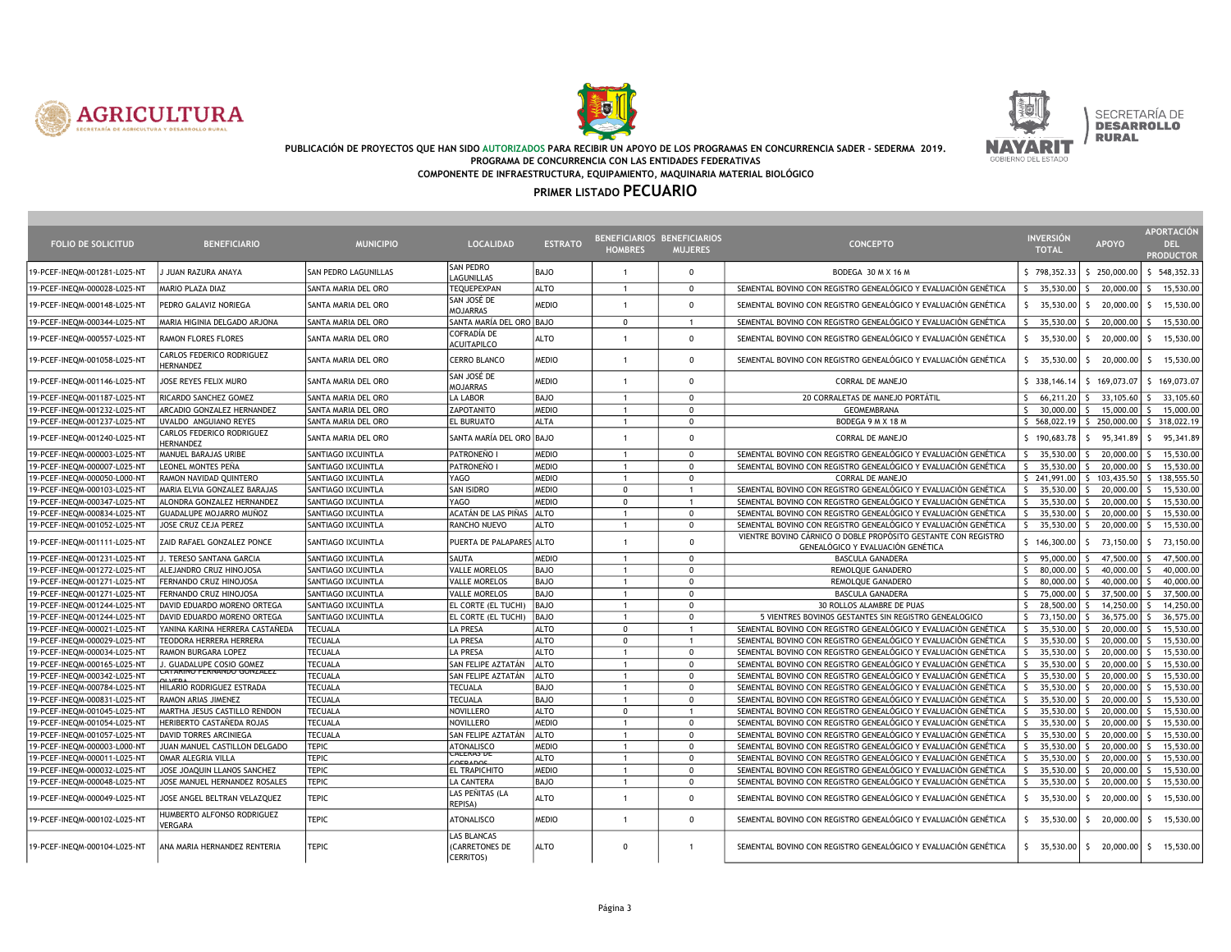





#### PUBLICACIÓN DE PROYECTOS QUE HAN SIDO AUTORIZADOS PARA RECIBIR UN APOYO DE LOS PROGRAMAS EN CONCURRENCIA SADER - SEDERMA 2019. PROGRAMA DE CONCURRENCIA CON LAS ENTIDADES FEDERATIVAS COMPONENTE DE INFRAESTRUCTURA, EQUIPAMIENTO, MAQUINARIA MATERIAL BIOLÓGICO

| <b>FOLIO DE SOLICITUD</b>    | <b>BENEFICIARIO</b>                    | <b>MUNICIPIO</b>     | <b>LOCALIDAD</b>                                  | <b>ESTRATO</b> | BENEFICIARIOS BENEFICIARIOS<br><b>HOMBRES</b> | <b>MUJERES</b>       | <b>CONCEPTO</b>                                                                                     | <b>INVERSIÓN</b><br><b>TOTAL</b> | <b>APOYO</b>              | <b>APORTACIÓN</b><br><b>DEL</b><br><b>PRODUCTOR</b> |
|------------------------------|----------------------------------------|----------------------|---------------------------------------------------|----------------|-----------------------------------------------|----------------------|-----------------------------------------------------------------------------------------------------|----------------------------------|---------------------------|-----------------------------------------------------|
| 19-PCEF-INEQM-001281-L025-NT | J JUAN RAZURA ANAYA                    | SAN PEDRO LAGUNILLAS | SAN PEDRO<br>LAGUNILLAS                           | <b>BAJO</b>    | $\overline{1}$                                | $\mathbf 0$          | BODEGA 30 M X 16 M                                                                                  | \$798,352.33                     | \$250,000.00              | \$548,352.33                                        |
| 19-PCEF-INEQM-000028-L025-NT | MARIO PLAZA DIAZ                       | SANTA MARIA DEL ORO  | TEQUEPEXPAN                                       | <b>ALTO</b>    | $\overline{1}$                                | $\mathbf{0}$         | SEMENTAL BOVINO CON REGISTRO GENEALÓGICO Y EVALUACIÓN GENÉTICA                                      | 35,530.00<br>$\zeta$             | 20,000.00<br>S.           | 15,530.00<br>-S                                     |
| 19-PCEF-INEQM-000148-L025-NT | PEDRO GALAVIZ NORIEGA                  | SANTA MARIA DEL ORO  | SAN JOSÉ DE<br>MOJARRAS                           | <b>MEDIO</b>   | $\overline{1}$                                | $\mathbf 0$          | SEMENTAL BOVINO CON REGISTRO GENEALÓGICO Y EVALUACIÓN GENÉTICA                                      | 35,530.00                        | 20,000.00<br>S.           | 15,530.00<br>S.                                     |
| 19-PCEF-INEQM-000344-L025-NT | MARIA HIGINIA DELGADO ARJONA           | SANTA MARIA DEL ORO  | SANTA MARÍA DEL ORO BAJO                          |                | $\mathbf{0}$                                  | $\mathbf{1}$         | SEMENTAL BOVINO CON REGISTRO GENEALÓGICO Y EVALUACIÓN GENÉTICA                                      | 35,530.00 \$                     | 20,000.00                 | S.<br>15,530.00                                     |
| 19-PCEF-INEQM-000557-L025-NT | RAMON FLORES FLORES                    | SANTA MARIA DEL ORO  | COFRADÍA DE<br><b>ACUITAPILCO</b>                 | <b>ALTO</b>    | 1                                             | $\mathbf 0$          | SEMENTAL BOVINO CON REGISTRO GENEALÓGICO Y EVALUACIÓN GENÉTICA                                      | 35,530.00<br>S.                  | 20,000.00<br><sup>5</sup> | 15,530.00<br>-S                                     |
| 19-PCEF-INEQM-001058-L025-NT | CARLOS FEDERICO RODRIGUEZ<br>HERNANDEZ | SANTA MARIA DEL ORO  | CERRO BLANCO                                      | <b>MEDIO</b>   | $\overline{1}$                                | $^{\circ}$           | SEMENTAL BOVINO CON REGISTRO GENEALÓGICO Y EVALUACIÓN GENÉTICA                                      | S.<br>35,530.00                  | S.<br>20,000,00           | 15,530.00<br>S.                                     |
| 19-PCEF-INEQM-001146-L025-NT | JOSE REYES FELIX MURO                  | SANTA MARIA DEL ORO  | SAN JOSÉ DE<br><b>MOJARRAS</b>                    | <b>MEDIO</b>   | $\overline{1}$                                | $\mathbf 0$          | <b>CORRAL DE MANEJO</b>                                                                             | \$ 338,146.14                    | \$169,073.07              | \$169,073.07                                        |
| 19-PCEF-INEQM-001187-L025-NT | RICARDO SANCHEZ GOMEZ                  | SANTA MARIA DEL ORO  | LA LABOR                                          | BAJO           | $\overline{1}$                                | $^{\circ}$           | 20 CORRALETAS DE MANEJO PORTÁTIL                                                                    | S.<br>$66,211.20$ $\sqrt{5}$     | 33,105.60                 | 33,105.60<br>S.                                     |
| 19-PCEF-INEQM-001232-L025-NT | ARCADIO GONZALEZ HERNANDEZ             | SANTA MARIA DEL ORO  | ZAPOTANITO                                        | MEDIO          | $\overline{1}$                                | $\Omega$             | <b>GEOMEMBRANA</b>                                                                                  | $30,000,00$ S<br>$\zeta$         | 15,000.00                 | 15,000.00<br>S.                                     |
| 19-PCEF-INEQM-001237-L025-NT | UVALDO ANGUIANO REYES                  | SANTA MARIA DEL ORO  | <b>EL BURUATO</b>                                 | <b>ALTA</b>    | $\overline{1}$                                | $\mathbf 0$          | BODEGA 9 M X 18 M                                                                                   |                                  | \$568,022.19 \$250,000,00 | \$ 318,022.19                                       |
| 19-PCEF-INEQM-001240-L025-NT | CARLOS FEDERICO RODRIGUEZ<br>HERNANDEZ | SANTA MARIA DEL ORO  | SANTA MARÍA DEL ORO BAJO                          |                | $\overline{1}$                                | $\mathbf 0$          | CORRAL DE MANEJO                                                                                    | \$190,683.78                     | $\mathsf{S}$<br>95,341.89 | $\mathsf{S}$<br>95,341.89                           |
| 19-PCEF-INEQM-000003-L025-NT | MANUEL BARAJAS URIBE                   | SANTIAGO IXCUINTLA   | PATRONEÑO I                                       | <b>MEDIO</b>   | $\overline{1}$                                | $\Omega$             | SEMENTAL BOVINO CON REGISTRO GENEALÓGICO Y EVALUACIÓN GENÉTICA                                      | 35.530.00                        | $\zeta$<br>20,000.00      | 15,530.00<br>$\mathsf{S}$                           |
| 19-PCEF-INEQM-000007-L025-NT | LEONEL MONTES PEÑA                     | SANTIAGO IXCUINTLA   | PATRONEÑO                                         | MEDIO          |                                               | $\Omega$             | SEMENTAL BOVINO CON REGISTRO GENEALÓGICO Y EVALUACIÓN GENÉTICA                                      | 35,530.00                        | 20,000.00<br>-S           | 15,530.00                                           |
| 19-PCEF-INEQM-000050-L000-NT | RAMON NAVIDAD QUINTERO                 | SANTIAGO IXCUINTLA   | <b>YAGO</b>                                       | MEDIO          | $\overline{1}$                                | $\mathbf 0$          | <b>CORRAL DE MANEJO</b>                                                                             | \$241,991.00                     | 103,435.50<br>S.          | \$138,555.50                                        |
| 19-PCEF-INEQM-000103-L025-NT | MARIA ELVIA GONZALEZ BARAJAS           | SANTIAGO IXCUINTLA   | <b>SAN ISIDRO</b>                                 | MEDIO          | $\mathbf{0}$                                  | $\mathbf{1}$         | SEMENTAL BOVINO CON REGISTRO GENEALÓGICO Y EVALUACIÓN GENÉTICA                                      | $35,530.00$ \$<br>S.             | 20,000.00                 | 15,530.00<br>-S                                     |
| 19-PCEF-INEOM-000347-L025-NT | ALONDRA GONZALEZ HERNANDEZ             | SANTIAGO IXCUINTLA   | <b>YAGO</b>                                       | <b>MEDIO</b>   | $\Omega$                                      |                      | SEMENTAL BOVINO CON REGISTRO GENEALÓGICO Y EVALUACIÓN GENÉTICA                                      | $35.530.00$ S<br>$\zeta$         | 20,000.00                 | 15,530.00<br>-S                                     |
| 19-PCEF-INEQM-000834-L025-NT | GUADALUPE MOJARRO MUÑOZ                | SANTIAGO IXCUINTLA   | ACATÁN DE LAS PIÑAS                               | <b>ALTO</b>    | $\overline{1}$                                | $\mathbf 0$          | SEMENTAL BOVINO CON REGISTRO GENEALÓGICO Y EVALUACIÓN GENÉTICA                                      | 35,530.00<br>$\zeta$             | 20,000.00<br><sub>S</sub> | 15,530.00                                           |
| 19-PCEF-INEQM-001052-L025-NT | JOSE CRUZ CEJA PEREZ                   | SANTIAGO IXCUINTLA   | RANCHO NUEVO                                      | <b>ALTO</b>    | $\overline{1}$                                | $\mathbf 0$          | SEMENTAL BOVINO CON REGISTRO GENEALÓGICO Y EVALUACIÓN GENÉTICA                                      | 35,530.00<br>$\zeta$             | 20,000.00<br>S.           | 15,530.00<br>S.                                     |
| 19-PCEF-INEQM-001111-L025-NT | ZAID RAFAEL GONZALEZ PONCE             | SANTIAGO IXCUINTLA   | PUERTA DE PALAPARES ALTO                          |                | $\mathbf{1}$                                  | $\mathbf 0$          | VIENTRE BOVINO CÁRNICO O DOBLE PROPÓSITO GESTANTE CON REGISTRO<br>GENEALÓGICO Y EVALUACIÓN GENÉTICA | \$146,300.00                     | 73,150.00<br>S.           | 73,150.00<br>S.                                     |
| 19-PCEF-INEQM-001231-L025-NT | J. TERESO SANTANA GARCIA               | SANTIAGO IXCUINTLA   | SAUTA                                             | <b>MEDIO</b>   | $\overline{1}$                                | $\mathbf 0$          | <b>BASCULA GANADERA</b>                                                                             | $95,000.00$ \$<br><sup>5</sup>   | 47,500.00                 | 47,500.00<br>-S                                     |
| 19-PCEF-INEQM-001272-L025-NT | ALEJANDRO CRUZ HINOJOSA                | SANTIAGO IXCUINTLA   | <b>VALLE MORELOS</b>                              | BAJO           | $\overline{1}$                                | $\Omega$             | REMOLQUE GANADERO                                                                                   | $\zeta$<br>80,000.00             | $\zeta$<br>40,000.00      | 40,000.00                                           |
| 19-PCEF-INEQM-001271-L025-NT | FERNANDO CRUZ HINOJOSA                 | SANTIAGO IXCUINTLA   | <b>VALLE MORELOS</b>                              | BAJO           | $\overline{1}$                                | $\mathbf 0$          | REMOLQUE GANADERO                                                                                   | $\mathsf{S}$<br>80,000.00        | 40,000.00<br><sup>S</sup> | 40,000.00                                           |
| 19-PCEF-INEQM-001271-L025-NT | FERNANDO CRUZ HINOJOSA                 | SANTIAGO IXCUINTLA   | <b>VALLE MORELOS</b>                              | <b>BAJO</b>    | $\overline{1}$                                | $^{\circ}$           | <b>BASCULA GANADERA</b>                                                                             | 75,000.00 \$<br><sup>5</sup>     | 37,500.00                 | 37,500.00<br>-S                                     |
| 19-PCEF-INEQM-001244-L025-NT | DAVID EDUARDO MORENO ORTEGA            | SANTIAGO IXCUINTLA   | EL CORTE (EL TUCHI)                               | BAJO           | $\overline{1}$                                | $\mathbf 0$          | 30 ROLLOS ALAMBRE DE PUAS                                                                           | 28,500.00<br><sup>5</sup>        | <sub>S</sub><br>14,250.00 | 14,250.00<br>-S                                     |
| 19-PCEF-INEOM-001244-L025-NT | DAVID EDUARDO MORENO ORTEGA            | SANTIAGO IXCUINTLA   | EL CORTE (EL TUCHI)                               | BAJO           | $\overline{1}$                                | $\mathbf 0$          | 5 VIENTRES BOVINOS GESTANTES SIN REGISTRO GENEALOGICO                                               | 73,150,00                        | 36,575.00<br>$\mathsf{s}$ | 36,575.00<br>$\zeta$                                |
| 19-PCEF-INEQM-000021-L025-NT | YANINA KARINA HERRERA CASTAÑEDA        | <b>TECUALA</b>       | <b>LA PRESA</b>                                   | <b>ALTO</b>    | $\mathbf{0}$                                  | $\blacktriangleleft$ | SEMENTAL BOVINO CON REGISTRO GENEALÓGICO Y EVALUACIÓN GENÉTICA                                      | 35,530.00<br>$\mathsf{S}$        | 20,000.00<br>$\mathsf{S}$ | 15,530.00<br>-S                                     |
| 19-PCEF-INEQM-000029-L025-NT | TEODORA HERRERA HERRERA                | <b>TECUALA</b>       | <b>LA PRESA</b>                                   | <b>ALTO</b>    | $\mathbf 0$                                   | $\overline{1}$       | SEMENTAL BOVINO CON REGISTRO GENEALÓGICO Y EVALUACIÓN GENÉTICA                                      | 35,530.00<br>$\zeta$             | 20,000.00<br>S.           | 15,530.00                                           |
| 19-PCEF-INEQM-000034-L025-NT | RAMON BURGARA LOPEZ                    | <b>TECUALA</b>       | <b>LA PRESA</b>                                   | <b>ALTO</b>    | $\overline{1}$                                | $\mathbf 0$          | SEMENTAL BOVINO CON REGISTRO GENEALÓGICO Y EVALUACIÓN GENÉTICA                                      | $35,530.00$ \$                   | 20,000.00                 | 15,530.00<br>-S                                     |
| 19-PCEF-INEQM-000165-L025-NT | . GUADALUPE COSIO GOMEZ                | <b>TECUALA</b>       | SAN FELIPE AZTATÁN                                | <b>ALTO</b>    | $\overline{1}$                                | $\Omega$             | SEMENTAL BOVINO CON REGISTRO GENEALÓGICO Y EVALUACIÓN GENÉTICA                                      | $35,530.00$ S<br>$\mathsf{S}$    | 20,000.00                 | 15,530.00<br>-S                                     |
| 19-PCEF-INEQM-000342-L025-NT | <b>ATANINUT LINNANDU GUNZALLZ</b>      | <b>TECUALA</b>       | SAN FELIPE AZTATÁN                                | <b>ALTO</b>    | $\overline{1}$                                | $\Omega$             | SEMENTAL BOVINO CON REGISTRO GENEALÓGICO Y EVALUACIÓN GENÉTICA                                      | 35,530.00<br>$\zeta$             | 20,000.00<br>$\mathsf{S}$ | 15,530.00<br>-S                                     |
| 19-PCEF-INEQM-000784-L025-NT | HILARIO RODRIGUEZ ESTRADA              | <b>TECUALA</b>       | <b>TECUALA</b>                                    | <b>BAJO</b>    | $\overline{1}$                                | $^{\circ}$           | SEMENTAL BOVINO CON REGISTRO GENEALÓGICO Y EVALUACIÓN GENÉTICA                                      | 35,530.00<br>S.                  | 20,000.00<br>S.           | 15,530.00<br>-S                                     |
| 19-PCEF-INEQM-000831-L025-NT | RAMON ARIAS JIMENEZ                    | <b>TECUALA</b>       | <b>TECUALA</b>                                    | <b>BAJO</b>    | $\overline{1}$                                | $^{\circ}$           | SEMENTAL BOVINO CON REGISTRO GENEALÓGICO Y EVALUACIÓN GENÉTICA                                      | 35,530.00 \$<br>$\zeta$          | 20,000.00                 | 15,530.00<br>-S                                     |
| 19-PCEF-INEOM-001045-L025-NT | MARTHA JESUS CASTILLO RENDON           | <b>TECUALA</b>       | <b>NOVILLERO</b>                                  | lalto          | $\mathbf{0}$                                  | $\mathbf{1}$         | SEMENTAL BOVINO CON REGISTRO GENEALÓGICO Y EVALUACIÓN GENÉTICA                                      | 35,530.00                        | $\mathsf{S}$<br>20,000.00 | 15,530.00<br>S.                                     |
| 19-PCEF-INEQM-001054-L025-NT | HERIBERTO CASTAÑEDA ROJAS              | <b>TECUALA</b>       | <b>NOVILLERO</b>                                  | MEDIO          | $\overline{1}$                                | $\Omega$             | SEMENTAL BOVINO CON REGISTRO GENEALÓGICO Y EVALUACIÓN GENÉTICA                                      | 35,530.00<br>$\zeta$             | 20,000.00<br>-S           | 15,530.00<br>-S                                     |
| 19-PCEF-INEQM-001057-L025-NT | DAVID TORRES ARCINIEGA                 | <b>TECUALA</b>       | SAN FELIPE AZTATÁN                                | <b>ALTO</b>    | $\overline{1}$                                | $^{\circ}$           | SEMENTAL BOVINO CON REGISTRO GENEALÓGICO Y EVALUACIÓN GENÉTICA                                      | 35,530.00<br><sup>5</sup>        | 20,000.00<br>-S           | 15,530.00<br>-S                                     |
| 19-PCEF-INEQM-000003-L000-NT | JUAN MANUEL CASTILLON DELGADO          | <b>TEPIC</b>         | ATONALISCO                                        | <b>MEDIO</b>   | $\overline{1}$                                | $\mathbf 0$          | SEMENTAL BOVINO CON REGISTRO GENEALÓGICO Y EVALUACIÓN GENÉTICA                                      | 35,530.00 \$<br>$\zeta$          | 20,000.00                 | 15,530.00<br>$\zeta$                                |
| 19-PCEF-INEQM-000011-L025-NT | OMAR ALEGRIA VILLA                     | <b>TEPIC</b>         | CALLINAJ VI<br>COPNNAC                            | lalto          | $\overline{1}$                                | $\Omega$             | SEMENTAL BOVINO CON REGISTRO GENEALÓGICO Y EVALUACIÓN GENÉTICA                                      | 35,530.00<br>$\mathsf{S}$        | 20,000.00<br>$\mathsf{S}$ | 15,530.00                                           |
| 19-PCEF-INEQM-000032-L025-NT | JOSE JOAQUIN LLANOS SANCHEZ            | <b>TEPIC</b>         | <b>EL TRAPICHITO</b>                              | MEDIO          | $\overline{1}$                                | $\Omega$             | SEMENTAL BOVINO CON REGISTRO GENEALÓGICO Y EVALUACIÓN GENÉTICA                                      | 35,530.00<br><sup>5</sup>        | 20,000.00<br>$\mathsf{s}$ | 15,530.00                                           |
| 19-PCEF-INEQM-000048-L025-NT | JOSE MANUEL HERNANDEZ ROSALES          | <b>TEPIC</b>         | LA CANTERA                                        | <b>BAJO</b>    | $\overline{1}$                                | $\mathbf 0$          | SEMENTAL BOVINO CON REGISTRO GENEALÓGICO Y EVALUACIÓN GENÉTICA                                      | $35,530.00$ S<br><sup>5</sup>    | 20,000.00                 | 15,530.00<br>-S                                     |
| 19-PCEF-INEQM-000049-L025-NT | JOSE ANGEL BELTRAN VELAZQUEZ           | <b>TEPIC</b>         | LAS PEÑITAS (LA<br>REPISA)                        | <b>ALTO</b>    | $\overline{1}$                                | $\mathbf 0$          | SEMENTAL BOVINO CON REGISTRO GENEALÓGICO Y EVALUACIÓN GENÉTICA                                      | 35,530.00<br>$\zeta$             | $\mathsf{S}$<br>20,000.00 | $\mathsf{S}$<br>15,530.00                           |
| 19-PCEF-INEQM-000102-L025-NT | HUMBERTO ALFONSO RODRIGUEZ<br>VERGARA  | <b>TEPIC</b>         | <b>ATONALISCO</b>                                 | <b>MEDIO</b>   | $\overline{1}$                                | $\mathbf 0$          | SEMENTAL BOVINO CON REGISTRO GENEALÓGICO Y EVALUACIÓN GENÉTICA                                      | 35,530.00<br>S.                  | $\mathsf{S}$<br>20,000.00 | \$ 15,530.00                                        |
| 19-PCEF-INEQM-000104-L025-NT | ANA MARIA HERNANDEZ RENTERIA           | <b>TEPIC</b>         | LAS BLANCAS<br>(CARRETONES DE<br><b>CERRITOS)</b> | <b>ALTO</b>    | $\Omega$                                      |                      | SEMENTAL BOVINO CON REGISTRO GENEALÓGICO Y EVALUACIÓN GENÉTICA                                      | 35,530.00<br>S.                  | $\frac{1}{2}$ 20,000.00   | $5$ 15,530.00                                       |